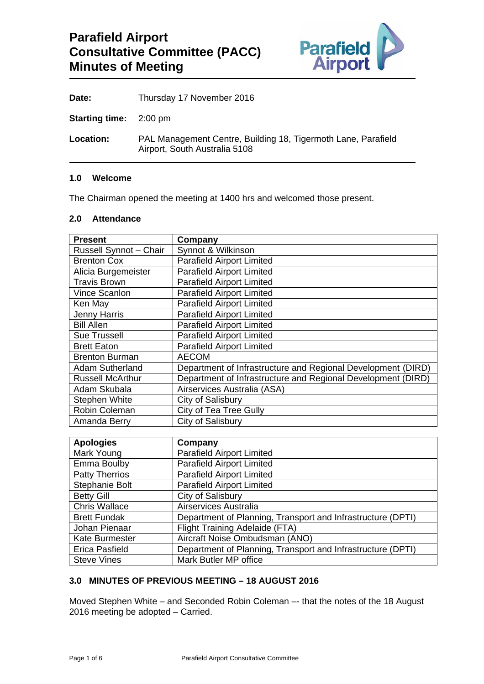

| Thursday 17 November 2016 |
|---------------------------|
|                           |

**Starting time:** 2:00 pm

**Location:** PAL Management Centre, Building 18, Tigermoth Lane, Parafield Airport, South Australia 5108

#### **1.0 Welcome**

The Chairman opened the meeting at 1400 hrs and welcomed those present.

# **2.0 Attendance**

| <b>Present</b>          | Company                                                      |
|-------------------------|--------------------------------------------------------------|
| Russell Synnot - Chair  | Synnot & Wilkinson                                           |
| <b>Brenton Cox</b>      | <b>Parafield Airport Limited</b>                             |
| Alicia Burgemeister     | <b>Parafield Airport Limited</b>                             |
| <b>Travis Brown</b>     | <b>Parafield Airport Limited</b>                             |
| Vince Scanlon           | <b>Parafield Airport Limited</b>                             |
| Ken May                 | <b>Parafield Airport Limited</b>                             |
| Jenny Harris            | <b>Parafield Airport Limited</b>                             |
| <b>Bill Allen</b>       | <b>Parafield Airport Limited</b>                             |
| <b>Sue Trussell</b>     | <b>Parafield Airport Limited</b>                             |
| <b>Brett Eaton</b>      | <b>Parafield Airport Limited</b>                             |
| <b>Brenton Burman</b>   | <b>AECOM</b>                                                 |
| <b>Adam Sutherland</b>  | Department of Infrastructure and Regional Development (DIRD) |
| <b>Russell McArthur</b> | Department of Infrastructure and Regional Development (DIRD) |
| Adam Skubala            | Airservices Australia (ASA)                                  |
| <b>Stephen White</b>    | City of Salisbury                                            |
| Robin Coleman           | City of Tea Tree Gully                                       |
| Amanda Berry            | City of Salisbury                                            |

| <b>Apologies</b>      | Company                                                     |
|-----------------------|-------------------------------------------------------------|
| Mark Young            | <b>Parafield Airport Limited</b>                            |
| Emma Boulby           | <b>Parafield Airport Limited</b>                            |
| <b>Patty Therrios</b> | <b>Parafield Airport Limited</b>                            |
| Stephanie Bolt        | <b>Parafield Airport Limited</b>                            |
| <b>Betty Gill</b>     | City of Salisbury                                           |
| <b>Chris Wallace</b>  | Airservices Australia                                       |
| <b>Brett Fundak</b>   | Department of Planning, Transport and Infrastructure (DPTI) |
| Johan Pienaar         | Flight Training Adelaide (FTA)                              |
| <b>Kate Burmester</b> | Aircraft Noise Ombudsman (ANO)                              |
| <b>Erica Pasfield</b> | Department of Planning, Transport and Infrastructure (DPTI) |
| <b>Steve Vines</b>    | Mark Butler MP office                                       |

# **3.0 MINUTES OF PREVIOUS MEETING – 18 AUGUST 2016**

Moved Stephen White – and Seconded Robin Coleman –- that the notes of the 18 August 2016 meeting be adopted – Carried.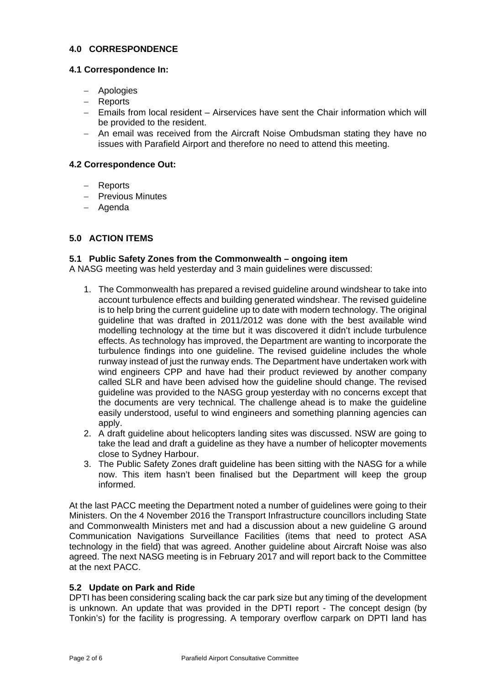# **4.0 CORRESPONDENCE**

#### **4.1 Correspondence In:**

- Apologies
- Reports
- Emails from local resident Airservices have sent the Chair information which will be provided to the resident.
- An email was received from the Aircraft Noise Ombudsman stating they have no issues with Parafield Airport and therefore no need to attend this meeting.

#### **4.2 Correspondence Out:**

- Reports
- Previous Minutes
- Agenda

# **5.0 ACTION ITEMS**

#### **5.1 Public Safety Zones from the Commonwealth – ongoing item**

A NASG meeting was held yesterday and 3 main guidelines were discussed:

- 1. The Commonwealth has prepared a revised guideline around windshear to take into account turbulence effects and building generated windshear. The revised guideline is to help bring the current guideline up to date with modern technology. The original guideline that was drafted in 2011/2012 was done with the best available wind modelling technology at the time but it was discovered it didn't include turbulence effects. As technology has improved, the Department are wanting to incorporate the turbulence findings into one guideline. The revised guideline includes the whole runway instead of just the runway ends. The Department have undertaken work with wind engineers CPP and have had their product reviewed by another company called SLR and have been advised how the guideline should change. The revised guideline was provided to the NASG group yesterday with no concerns except that the documents are very technical. The challenge ahead is to make the guideline easily understood, useful to wind engineers and something planning agencies can apply.
- 2. A draft guideline about helicopters landing sites was discussed. NSW are going to take the lead and draft a guideline as they have a number of helicopter movements close to Sydney Harbour.
- 3. The Public Safety Zones draft guideline has been sitting with the NASG for a while now. This item hasn't been finalised but the Department will keep the group informed.

At the last PACC meeting the Department noted a number of guidelines were going to their Ministers. On the 4 November 2016 the Transport Infrastructure councillors including State and Commonwealth Ministers met and had a discussion about a new guideline G around Communication Navigations Surveillance Facilities (items that need to protect ASA technology in the field) that was agreed. Another guideline about Aircraft Noise was also agreed. The next NASG meeting is in February 2017 and will report back to the Committee at the next PACC.

#### **5.2 Update on Park and Ride**

DPTI has been considering scaling back the car park size but any timing of the development is unknown. An update that was provided in the DPTI report - The concept design (by Tonkin's) for the facility is progressing. A temporary overflow carpark on DPTI land has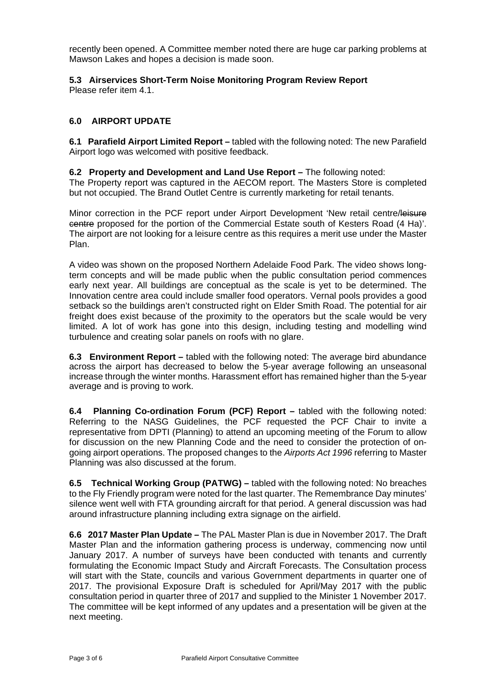recently been opened. A Committee member noted there are huge car parking problems at Mawson Lakes and hopes a decision is made soon.

# **5.3 Airservices Short-Term Noise Monitoring Program Review Report**

Please refer item 4.1.

# **6.0 AIRPORT UPDATE**

**6.1 Parafield Airport Limited Report –** tabled with the following noted: The new Parafield Airport logo was welcomed with positive feedback.

#### **6.2 Property and Development and Land Use Report –** The following noted:

The Property report was captured in the AECOM report. The Masters Store is completed but not occupied. The Brand Outlet Centre is currently marketing for retail tenants.

Minor correction in the PCF report under Airport Development 'New retail centre/leisure centre proposed for the portion of the Commercial Estate south of Kesters Road (4 Ha)'. The airport are not looking for a leisure centre as this requires a merit use under the Master Plan.

A video was shown on the proposed Northern Adelaide Food Park. The video shows longterm concepts and will be made public when the public consultation period commences early next year. All buildings are conceptual as the scale is yet to be determined. The Innovation centre area could include smaller food operators. Vernal pools provides a good setback so the buildings aren't constructed right on Elder Smith Road. The potential for air freight does exist because of the proximity to the operators but the scale would be very limited. A lot of work has gone into this design, including testing and modelling wind turbulence and creating solar panels on roofs with no glare.

**6.3 Environment Report –** tabled with the following noted: The average bird abundance across the airport has decreased to below the 5-year average following an unseasonal increase through the winter months. Harassment effort has remained higher than the 5-year average and is proving to work.

**6.4 Planning Co-ordination Forum (PCF) Report –** tabled with the following noted: Referring to the NASG Guidelines, the PCF requested the PCF Chair to invite a representative from DPTI (Planning) to attend an upcoming meeting of the Forum to allow for discussion on the new Planning Code and the need to consider the protection of ongoing airport operations. The proposed changes to the *Airports Act 1996* referring to Master Planning was also discussed at the forum.

**6.5 Technical Working Group (PATWG) –** tabled with the following noted: No breaches to the Fly Friendly program were noted for the last quarter. The Remembrance Day minutes' silence went well with FTA grounding aircraft for that period. A general discussion was had around infrastructure planning including extra signage on the airfield.

**6.6 2017 Master Plan Update –** The PAL Master Plan is due in November 2017. The Draft Master Plan and the information gathering process is underway, commencing now until January 2017. A number of surveys have been conducted with tenants and currently formulating the Economic Impact Study and Aircraft Forecasts. The Consultation process will start with the State, councils and various Government departments in quarter one of 2017. The provisional Exposure Draft is scheduled for April/May 2017 with the public consultation period in quarter three of 2017 and supplied to the Minister 1 November 2017. The committee will be kept informed of any updates and a presentation will be given at the next meeting.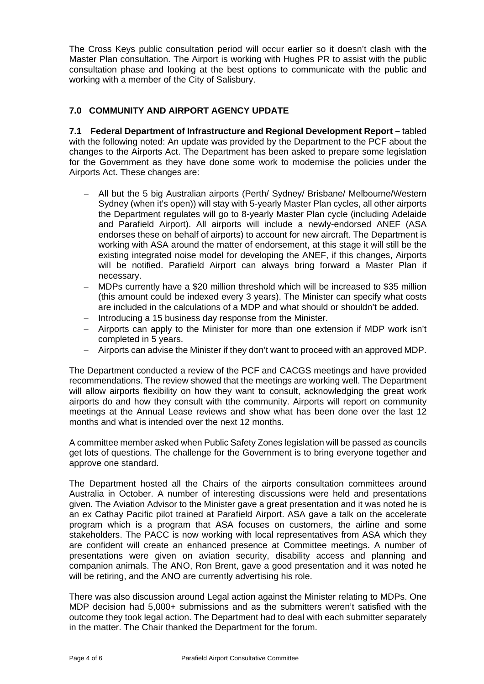The Cross Keys public consultation period will occur earlier so it doesn't clash with the Master Plan consultation. The Airport is working with Hughes PR to assist with the public consultation phase and looking at the best options to communicate with the public and working with a member of the City of Salisbury.

# **7.0 COMMUNITY AND AIRPORT AGENCY UPDATE**

**7.1 Federal Department of Infrastructure and Regional Development Report –** tabled with the following noted: An update was provided by the Department to the PCF about the changes to the Airports Act. The Department has been asked to prepare some legislation for the Government as they have done some work to modernise the policies under the Airports Act. These changes are:

- All but the 5 big Australian airports (Perth/ Sydney/ Brisbane/ Melbourne/Western Sydney (when it's open)) will stay with 5-yearly Master Plan cycles, all other airports the Department regulates will go to 8-yearly Master Plan cycle (including Adelaide and Parafield Airport). All airports will include a newly-endorsed ANEF (ASA endorses these on behalf of airports) to account for new aircraft. The Department is working with ASA around the matter of endorsement, at this stage it will still be the existing integrated noise model for developing the ANEF, if this changes, Airports will be notified. Parafield Airport can always bring forward a Master Plan if necessary.
- MDPs currently have a \$20 million threshold which will be increased to \$35 million (this amount could be indexed every 3 years). The Minister can specify what costs are included in the calculations of a MDP and what should or shouldn't be added.
- Introducing a 15 business day response from the Minister.
- Airports can apply to the Minister for more than one extension if MDP work isn't completed in 5 years.
- Airports can advise the Minister if they don't want to proceed with an approved MDP.

The Department conducted a review of the PCF and CACGS meetings and have provided recommendations. The review showed that the meetings are working well. The Department will allow airports flexibility on how they want to consult, acknowledging the great work airports do and how they consult with tthe community. Airports will report on community meetings at the Annual Lease reviews and show what has been done over the last 12 months and what is intended over the next 12 months.

A committee member asked when Public Safety Zones legislation will be passed as councils get lots of questions. The challenge for the Government is to bring everyone together and approve one standard.

The Department hosted all the Chairs of the airports consultation committees around Australia in October. A number of interesting discussions were held and presentations given. The Aviation Advisor to the Minister gave a great presentation and it was noted he is an ex Cathay Pacific pilot trained at Parafield Airport. ASA gave a talk on the accelerate program which is a program that ASA focuses on customers, the airline and some stakeholders. The PACC is now working with local representatives from ASA which they are confident will create an enhanced presence at Committee meetings. A number of presentations were given on aviation security, disability access and planning and companion animals. The ANO, Ron Brent, gave a good presentation and it was noted he will be retiring, and the ANO are currently advertising his role.

There was also discussion around Legal action against the Minister relating to MDPs. One MDP decision had 5,000+ submissions and as the submitters weren't satisfied with the outcome they took legal action. The Department had to deal with each submitter separately in the matter. The Chair thanked the Department for the forum.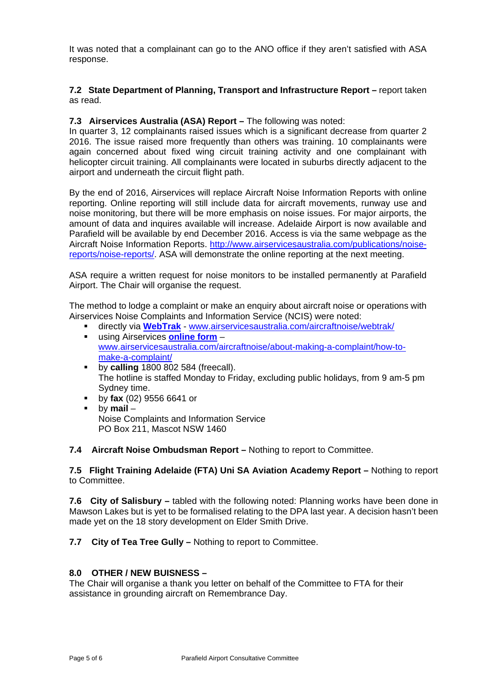It was noted that a complainant can go to the ANO office if they aren't satisfied with ASA response.

# **7.2 State Department of Planning, Transport and Infrastructure Report –** report taken as read.

## **7.3 Airservices Australia (ASA) Report – The following was noted:**

In quarter 3, 12 complainants raised issues which is a significant decrease from quarter 2 2016. The issue raised more frequently than others was training. 10 complainants were again concerned about fixed wing circuit training activity and one complainant with helicopter circuit training. All complainants were located in suburbs directly adjacent to the airport and underneath the circuit flight path.

By the end of 2016, Airservices will replace Aircraft Noise Information Reports with online reporting. Online reporting will still include data for aircraft movements, runway use and noise monitoring, but there will be more emphasis on noise issues. For major airports, the amount of data and inquires available will increase. Adelaide Airport is now available and Parafield will be available by end December 2016. Access is via the same webpage as the Aircraft Noise Information Reports. http://www.airservicesaustralia.com/publications/noisereports/noise-reports/. ASA will demonstrate the online reporting at the next meeting.

ASA require a written request for noise monitors to be installed permanently at Parafield Airport. The Chair will organise the request.

The method to lodge a complaint or make an enquiry about aircraft noise or operations with Airservices Noise Complaints and Information Service (NCIS) were noted:

- directly via **WebTrak** www.airservicesaustralia.com/aircraftnoise/webtrak/ using Airservices **online form** – www.airservicesaustralia.com/aircraftnoise/about-making-a-complaint/how-tomake-a-complaint/
- **by calling** 1800 802 584 (freecall). The hotline is staffed Monday to Friday, excluding public holidays, from 9 am-5 pm Sydney time.
- by **fax** (02) 9556 6641 or
- by **mail** Noise Complaints and Information Service PO Box 211, Mascot NSW 1460

# **7.4 Aircraft Noise Ombudsman Report –** Nothing to report to Committee.

#### **7.5 Flight Training Adelaide (FTA) Uni SA Aviation Academy Report –** Nothing to report to Committee.

**7.6 City of Salisbury –** tabled with the following noted: Planning works have been done in Mawson Lakes but is yet to be formalised relating to the DPA last year. A decision hasn't been made yet on the 18 story development on Elder Smith Drive.

**7.7 City of Tea Tree Gully –** Nothing to report to Committee.

# **8.0 OTHER / NEW BUISNESS –**

The Chair will organise a thank you letter on behalf of the Committee to FTA for their assistance in grounding aircraft on Remembrance Day.